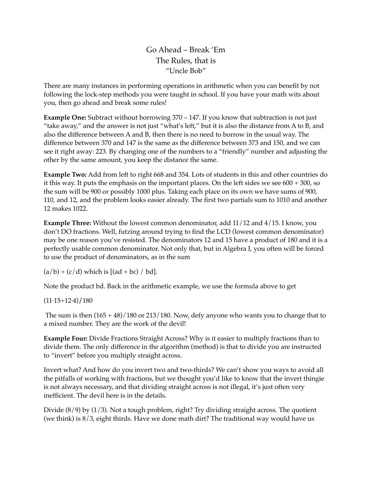Go Ahead – Break 'Em The Rules, that is "Uncle Bob"

There are many instances in performing operations in arithmetic when you can benefit by not following the lock-step methods you were taught in school. If you have your math wits about you, then go ahead and break some rules!

**Example One:** Subtract without borrowing 370 – 147. If you know that subtraction is not just "take away," and the answer is not just "what's left," but it is also the distance from A to B, and also the difference between A and B, then there is no need to borrow in the usual way. The difference between 370 and 147 is the same as the difference between 373 and 150, and we can see it right away: 223. By changing one of the numbers to a "friendly" number and adjusting the other by the same amount, you keep the distance the same.

**Example Two:** Add from left to right 668 and 354. Lots of students in this and other countries do it this way. It puts the emphasis on the important places. On the left sides we see 600 + 300, so the sum will be 900 or possibly 1000 plus. Taking each place on its own we have sums of 900, 110, and 12, and the problem looks easier already. The first two partials sum to 1010 and another 12 makes 1022.

**Example Three:** Without the lowest common denominator, add 11/12 and 4/15. I know, you don't DO fractions. Well, futzing around trying to find the LCD (lowest common denominator) may be one reason you've resisted. The denominators 12 and 15 have a product of 180 and it is a perfectly usable common denominator. Not only that, but in Algebra I, you often will be forced to use the product of denominators, as in the sum

 $(a/b) + (c/d)$  which is  $[(ad + bc) / bd]$ .

Note the product bd. Back in the arithmetic example, we use the formula above to get

## (11·15+12·4)∕180

The sum is then  $(165 + 48)/180$  or 213/180. Now, defy anyone who wants you to change that to a mixed number. They are the work of the devil!

**Example Four:** Divide Fractions Straight Across? Why is it easier to multiply fractions than to divide them. The only difference in the algorithm (method) is that to divide you are instructed to "invert" before you multiply straight across.

Invert what? And how do you invert two and two-thirds? We can't show you ways to avoid all the pitfalls of working with fractions, but we thought you'd like to know that the invert thingie is not always necessary, and that dividing straight across is not illegal, it's just often very inefficient. The devil here is in the details.

Divide (8/9) by (1/3). Not a tough problem, right? Try dividing straight across. The quotient (we think) is 8/3, eight thirds. Have we done math dirt? The traditional way would have us